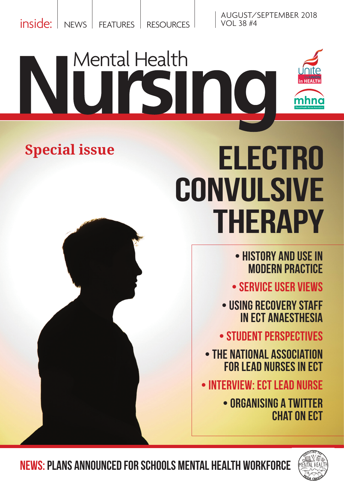inside: NEWS FEATURES RESOURCES

AUGUST/SEPTEMBER 2018 VOL 38 #4

# Mental Health HEALTH mhno

## **Special issue**



- HISTORY AND USE IN MODERN practice
- SERVICE USER views
- USING RECOVERY STAFF in ECT ANAESTHESIA

• Student perspectiveS

- the National Association foR LEAd Nurses in ECT
- INTERVIEW: ECT LEAD NURSE
	- ORGANISING A TWITTER CHAT ON ECT



News: PLANS ANNOUNCED FOR SCHOOLS MENTAL HEALTH WORKFORCE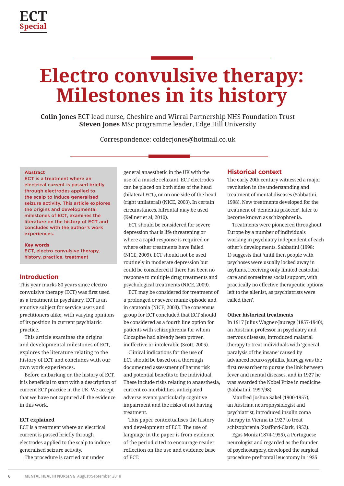## **Electro convulsive therapy: Milestones in its history**

**Colin Jones** ECT lead nurse, Cheshire and Wirral Partnership NHS Foundation Trust **Steven Jones** MSc programme leader, Edge Hill University

Correspondence: [colderjones@hotmail.co.uk](mailto:colderjones%40hotmail.co.uk?subject=Paper%20in%20Mental%20Health%20Nursing)

#### **Abstract**

ECT is a treatment where an electrical current is passed briefly through electrodes applied to the scalp to induce generalised seizure activity. This article explores the origins and developmental milestones of ECT, examines the literature on the history of ECT and concludes with the author's work experiences.

**Key words** ECT, electro convulsive therapy, history, practice, treatment

#### **Introduction**

This year marks 80 years since electro convulsive therapy (ECT) was first used as a treatment in psychiatry. ECT is an emotive subject for service users and practitioners alike, with varying opinions of its position in current psychiatric practice.

This article examines the origins and developmental milestones of ECT, explores the literature relating to the history of ECT and concludes with our own work experiences.

Before embarking on the history of ECT, it is beneficial to start with a description of current ECT practice in the UK. We accept that we have not captured all the evidence in this work.

#### **ECT explained**

ECT is a treatment where an electrical current is passed briefly through electrodes applied to the scalp to induce generalised seizure activity.

The procedure is carried out under

general anaesthetic in the UK with the use of a muscle relaxant. ECT electrodes can be placed on both sides of the head (bilateral ECT), or on one side of the head (right unilateral) (NICE, 2003). In certain circumstances, bifrontal may be used (Kellner et al, 2010).

ECT should be considered for severe depression that is life threatening or where a rapid response is required or where other treatments have failed (NICE, 2009). ECT should not be used routinely in moderate depression but could be considered if there has been no response to multiple drug treatments and psychological treatments (NICE, 2009).

ECT may be considered for treatment of a prolonged or severe manic episode and in catatonia (NICE, 2003). The consensus group for ECT concluded that ECT should be considered as a fourth line option for patients with schizophrenia for whom Clozapine had already been proven ineffective or intolerable (Scott, 2005).

Clinical indications for the use of ECT should be based on a thorough documented assessment of harms risk and potential benefits to the individual. These include risks relating to anaesthesia, current co-morbidities, anticipated adverse events particularly cognitive impairment and the risks of not having treatment.

This paper contextualises the history and development of ECT. The use of language in the paper is from evidence of the period cited to encourage reader reflection on the use and evidence base of ECT.

#### **Historical context**

The early 20th century witnessed a major revolution in the understanding and treatment of mental diseases (Sabbatini, 1998). New treatments developed for the treatment of 'dementia praecox', later to become known as schizophrenia.

Treatments were pioneered throughout Europe by a number of individuals working in psychiatry independent of each other's developments. Sabbatini (1998: 1) suggests that 'until then people with psychoses were usually locked away in asylums, receiving only limited custodial care and sometimes social support, with practically no effective therapeutic options left to the alienist, as psychiatrists were called then'.

#### **Other historical treatments**

In 1917 Julius Wagner-Jauregg (1857-1940), an Austrian professor in psychiatry and nervous diseases, introduced malarial therapy to treat individuals with 'general paralysis of the insane' caused by advanced neuro-syphillis. Jauregg was the first researcher to pursue the link between fever and mental diseases, and in 1927 he was awarded the Nobel Prize in medicine (Sabbatini, 1997/98)

Manfred Joshua Sakel (1900-1957), an Austrian neurophysiologist and psychiatrist, introduced insulin coma therapy in Vienna in 1927 to treat schizophrenia (Stafford-Clark, 1952).

Egas Moniz (1874-1955), a Portuguese neurologist and regarded as the founder of psychosurgery, developed the surgical procedure prefrontal leucotomy in 1935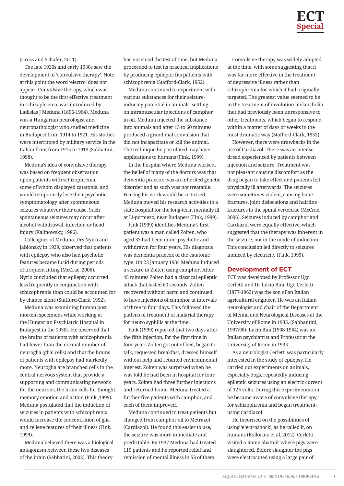(Gross and Schafer, 2011).

The late 1920s and early 1930s saw the development of 'convulsive therapy'. Note at this point the word 'electro' does not appear. Convulsive therapy, which was thought to be the first effective treatment in schizophrenia, was introduced by Ladislas J Meduna (1896-1964). Meduna was a Hungarian neurologist and neuropathologist who studied medicine in Budapest from 1914 to 1921. His studies were interrupted by military service in the Italian front from 1915 to 1918 (Sabbatini, 1998).

Meduna's idea of convulsive therapy was based on frequent observation upon patients with schizophrenia, some of whom displayed catatonia, and would temporarily lose their psychotic symptomatology after spontaneous seizures whatever their cause. Such spontaneous seizures may occur after alcohol withdrawal, infection or head injury (Kalinowsky, 1986).

Colleagues of Meduna, Drs Nyiro and Jablonsky in 1929, observed that patients with epilepsy who also had psychotic features became lucid during periods of frequent fitting (McCrae, 2006). Nyrio concluded that epilepsy occurred less frequently in conjunction with schizophrenia than could be accounted for by chance alone (Stafford-Clark, 1952).

Meduna was examining human post mortem specimens while working at the Hungarian Psychiatric Hospital in Budapest in the 1930s. He observed that the brains of patients with schizophrenia had fewer than the normal number of neuroglia (glial cells) and that the brains of patients with epilepsy had markedly more. Neuroglia are branched cells in the central nervous system that provide a supporting and communicating network for the neurons, the brain cells for thought, memory emotion and action (Fink ,1999). Meduna postulated that the induction of seizures in patients with schizophrenia would increase the concentration of glia and relieve features of their illness (Fink, 1999).

Meduna believed there was a biological antagonism between these two diseases of the brain (Sabbatini, 2002). This theory

has not stood the test of time, but Meduna proceeded to test its practical implications by producing epileptic fits patients with schizophrenia (Stafford-Clark, 1952).

Meduna continued to experiment with various substances for their seizureinducing potential in animals, settling on intramuscular injections of camphor in oil. Meduna injected the substance into animals and after 15 to 60 minutes produced a grand mal convulsion that did not incapacitate or kill the animal. The technique he postulated may have applications to humans (Fink, 1999).

In the hospital where Meduna worked, the belief of many of the doctors was that dementia praecox was an inherited genetic disorder and as such was not treatable. Fearing his work would be criticised, Meduna moved his research activities to a state hospital for the long-term mentally ill at Li-potmezo, near Budapest (Fink, 1999).

Fink (1999) identifies Meduna's first patient was a man called Zolten, who aged 33 had been mute, psychotic and withdrawn for four years. His diagnosis was dementia praecox of the catatonic type. On 23 January 1934 Meduna induced a seizure in Zolten using camphor. After 45 minutes Zolten had a classical epileptic attack that lasted 60 seconds. Zolten recovered without harm and continued to have injections of camphor at intervals of three to four days. This followed the pattern of treatment of malarial therapy for neuro syphilis at the time.

Fink (1999) reported that two days after the fifth injection, for the first time in four years Zolten got out of bed, began to talk, requested breakfast, dressed himself without help and retained environmental interest. Zolten was surprised when he was told he had been in hospital for four years. Zolten had three further injections and returned home. Meduna treated a further five patients with camphor, and each of them improved.

Meduna continued to treat patients but changed from camphor oil to Metrazol (Cardiazol). He found this easier to use, the seizure was more immediate and predictable. By 1937 Meduna had treated 110 patients and he reported relief and remission of mental illness in 53 of them.

Convulsive therapy was widely adopted at the time, with some suggesting that it was far more effective in the treatment of depressive illness rather than schizophrenia for which it had originally targeted. The greatest value seemed to be in the treatment of involution melancholia that had previously been unresponsive to other treatments, which began to respond within a matter of days or weeks in the most dramatic way (Stafford-Clark, 1952).

However, there were drawbacks in the use of Cardiazol. There was an intense dread experienced by patients between injection and seizure. Treatment was not pleasant causing discomfort as the drug began to take effect and patients felt physically ill afterwards. The seizures were sometimes violent, causing bone fractures, joint dislocations and hairline fractures to the spinal vertebrae (McCrae, 2006). Seizures induced by camphor and Cardiazol were equally effective, which suggested that the therapy was inherent in the seizure, not in the mode of induction. This conclusion led directly to seizures induced by electricity (Fink, 1999).

#### **Development of ECT**

ECT was developed by Professor Ugo Cerletti and Dr Lucio Bini. Ugo Cerletti (1877-1963) was the son of an Italian agricultural engineer. He was an Italian neurologist and chair of the Department of Mental and Neurological Diseases at the University of Rome in 1935. (Sabbantini, 1997/98). Lucio Bini (1908-1964) was an Italian psychiatrist and Professor at the University of Rome in 1935.

As a neurologist Cerletti was particularly interested in the study of epilepsy. He carried out experiments on animals, especially dogs, repeatedly inducing epileptic seizures using an electric current of 125 volts. During this experimentation, he became aware of convulsive therapy for schizophrenia and began treatmentusing Cardiazol.

He theorised on the possibilities of using 'electroshock', as he called it, on humans (Bollorino et al, 2012). Cerletti visited a Rome abattoir where pigs were slaughtered. Before slaughter the pigs were electrocuted using a large pair of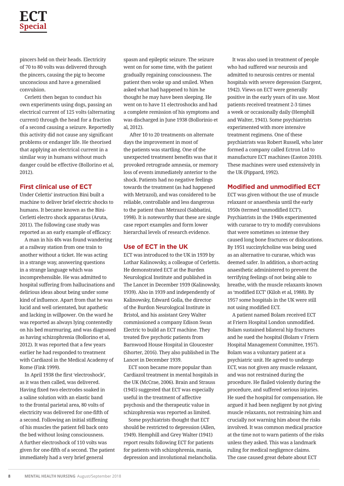### **ECT Special**

pincers held on their heads. Electricity of 70 to 80 volts was delivered through the pincers, causing the pig to become unconscious and have a generalised convulsion.

Cerletti then began to conduct his own experiments using dogs, passing an electrical current of 125 volts (alternating current) through the head for a fraction of a second causing a seizure. Reportedly this activity did not cause any significant problems or endanger life. He theorised that applying an electrical current in a similar way in humans without much danger could be effective (Bollorino et al, 2012).

#### **First clinical use of ECT**

Under Celettis' instruction Bini built a machine to deliver brief electric shocks to humans. It became known as the Bini-Cerletti electro shock apparatus (Aruta, 2011). The following case study was reported as an early example of efficacy:

A man in his 40s was found wandering at a railway station from one train to another without a ticket. He was acting in a strange way, answering questions in a strange language which was incomprehensible. He was admitted to hospital suffering from hallucinations and delirious ideas about being under some kind of influence. Apart from that he was lucid and well orientated, but apathetic and lacking in willpower. On the ward he was reported as always lying contentedly on his bed murmuring, and was diagnosed as having schizophrenia (Bollorino et al, 2012). It was reported that a few years earlier he had responded to treatment with Cardiazol in the Medical Academy of Rome (Fink 1999).

In April 1938 the first 'electroshock', as it was then called, was delivered. Having fixed two electrodes soaked in a saline solution with an elastic band to the frontal parietal area, 80 volts of electricity was delivered for one-fifth of a second. Following an initial stiffening of his muscles the patient fell back onto the bed without losing consciousness. A further electroshock of 110 volts was given for one-fifth of a second. The patient immediately had a very brief general

spasm and epileptic seizure. The seizure went on for some time, with the patient gradually regaining consciousness. The patient then woke up and smiled. When asked what had happened to him he thought he may have been sleeping. He went on to have 11 electroshocks and had a complete remission of his symptoms and was discharged in June 1938 (Bollorinio et al, 2012).

 After 10 to 20 treatments on alternate days the improvement in most of the patients was startling. One of the unexpected treatment benefits was that it provoked retrograde amnesia, or memory loss of events immediately anterior to the shock. Patients had no negative feelings towards the treatment (as had happened with Metrazol), and was considered to be reliable, controllable and less dangerous to the patient than Metrazol (Sabbatini, 1998). It is noteworthy that these are single case report examples and form lower hierarchal levels of research evidence.

#### **Use of ECT in the UK**

ECT was introduced to the UK in 1939 by Lothar Kalinowsky, a colleague of Cerlettis. He demonstrated ECT at the Burden Neurological Institute and published in The Lancet in December 1939 (Kalinowsky, 1939). Also in 1939 and independently of Kalinowsky, Edward Golla, the director of the Burdon Neurological Institute in Bristol, and his assistant Grey Walter commissioned a company Edison Swan Electric to build an ECT machine. They treated five psychotic patients from Barnwood House Hospital in Gloucester (Shorter, 2016). They also published in The Lancet in December 1939.

ECT soon became more popular than Cardiazol treatment in mental hospitals in the UK (McCrae, 2006). Brain and Strauss (1945) suggested that ECT was especially useful in the treatment of affective psychosis and the therapeutic value in schizophrenia was reported as limited.

Some psychiatrists thought that ECT should be restricted to depression (Allen, 1949). Hemphill and Grey Walter (1941) report results following ECT for patients for patients with schizophrenia, mania, depression and involutional melancholia.

It was also used in treatment of people who had suffered war neurosis and admitted to neurosis centres or mental hospitals with severe depression (Sargent, 1942). Views on ECT were generally positive in the early years of its use. Most patients received treatment 2-3 times a week or occasionally daily (Hemphill and Walter, 1941). Some psychiatrists experimented with more intensive treatment regimens. One of these psychiatrists was Robert Russell, who later formed a company called Ectron Ltd to manufacture ECT machines (Easton 2010). These machines were used extensively in the UK (Pippard, 1992).

#### **Modified and unmodified ECT**

ECT was given without the use of muscle relaxant or anaesthesia until the early 1950s (termed 'unmodified ECT'). Psychiatrists in the 1940s experimented with curarae to try to modify convulsions that were sometimes so intense they caused long bone fractures or dislocations. By 1951 succinylcholine was being used as an alternative to curarae, which was deemed safer. In addition, a short-acting anaesthetic administered to prevent the terrifying feelings of not being able to breathe, with the muscle relaxants known as 'modified ECT' (Kiloh et al, 1988). By 1957 some hospitals in the UK were still not using modified ECT.

A patient named Bolam received ECT at Friern Hospital London unmodified. Bolam sustained bilateral hip fractures and he sued the hospital (Bolam v Friern Hospital Management Committee, 1957). Bolam was a voluntary patient at a psychiatric unit. He agreed to undergo ECT, was not given any muscle relaxant, and was not restrained during the procedure. He flailed violently during the procedure, and suffered serious injuries. He sued the hospital for compensation. He argued it had been negligent by not giving muscle relaxants, not restraining him and crucially not warning him about the risks involved. It was common medical practice at the time not to warn patients of the risks unless they asked. This was a landmark ruling for medical negligence claims. The case caused great debate about ECT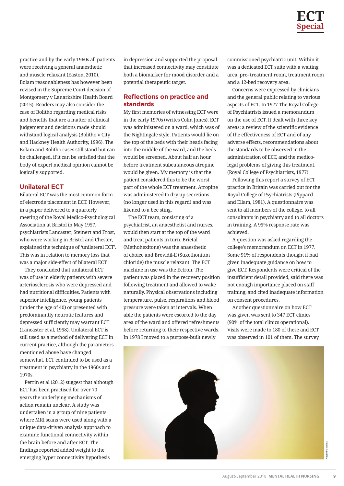practice and by the early 1960s all patients were receiving a general anaesthetic and muscle relaxant (Easton, 2010). Bolam reasonableness has however been revised in the Supreme Court decision of Montgomery v Lanarkshire Health Board (2015). Readers may also consider the case of Bolitho regarding medical risks and benefits that are a matter of clinical judgement and decisions made should withstand logical analysis (Bolitho v City and Hackney Health Authority, 1996). The Bolam and Bolitho cases still stand but can be challenged, if it can be satisfied that the body of expert medical opinion cannot be logically supported.

#### **Unilateral ECT**

Bilateral ECT was the most common form of electrode placement in ECT. However, in a paper delivered to a quarterly meeting of the Royal Medico-Psychological Association at Bristol in May 1957, psychiatrists Lancaster, Steinert and Frost, who were working in Bristol and Chester, explained the technique of 'unilateral ECT'. This was in relation to memory loss that was a major side-effect of bilateral ECT.

They concluded that unilateral ECT was of use in elderly patients with severe arteriosclerosis who were depressed and had nutritional difficulties. Patients with superior intelligence, young patients (under the age of 40) or presented with predominantly neurotic features and depressed sufficiently may warrant ECT (Lancaster et al, 1958). Unilateral ECT is still used as a method of delivering ECT in current practice, although the parameters mentioned above have changed somewhat. ECT continued to be used as a treatment in psychiatry in the 1960s and 1970s.

Perrin et al (2012) suggest that although ECT has been practised for over 70 years the underlying mechanisms of action remain unclear. A study was undertaken in a group of nine patients where MRI scans were used along with a unique data-driven analysis approach to examine functional connectivity within the brain before and after ECT. The findings reported added weight to the emerging hyper connectivity hypothesis

in depression and supported the proposal that increased connectivity may constitute both a biomarker for mood disorder and a potential therapeutic target.

#### **Reflections on practice and standards**

My first memories of witnessing ECT were in the early 1970s (writes Colin Jones). ECT was administered on a ward, which was of the Nightingale style. Patients would lie on the top of the beds with their heads facing into the middle of the ward, and the beds would be screened. About half an hour before treatment subcutaneous atropine would be given. My memory is that the patient considered this to be the worst part of the whole ECT treatment. Atropine was administered to dry up secretions (no longer used in this regard) and was likened to a bee sting.

The ECT team, consisting of a psychiatrist, an anaesthetist and nurses, would then start at the top of the ward and treat patients in turn. Brietal (Methohexitone) was the anaesthetic of choice and Brevidil-E (Suxethonium chloride) the muscle relaxant. The ECT machine in use was the Ectron. The patient was placed in the recovery position following treatment and allowed to wake naturally. Physical observations including temperature, pulse, respirations and blood pressure were taken at intervals. When able the patients were escorted to the day area of the ward and offered refreshments before returning to their respective wards. In 1978 I moved to a purpose-built newly

commissioned psychiatric unit. Within it was a dedicated ECT suite with a waiting area, pre- treatment room, treatment room and a 12-bed recovery area.

Concerns were expressed by clinicians and the general public relating to various aspects of ECT. In 1977 The Royal College of Psychiatrists issued a memorandum on the use of ECT. It dealt with three key areas: a review of the scientific evidence of the effectiveness of ECT and of any adverse effects, recommendations about the standards to be observed in the administration of ECT, and the medicolegal problems of giving this treatment. (Royal College of Psychiatrists, 1977)

Following this report a survey of ECT practice in Britain was carried out for the Royal College of Psychiatrists (Pippard and Ellam, 1981). A questionnaire was sent to all members of the college, to all consultants in psychiatry and to all doctors in training. A 95% response rate was achieved.

A question was asked regarding the college's memorandum on ECT in 1977. Some 91% of respondents thought it had given inadequate guidance on how to give ECT. Respondents were critical of the insufficient detail provided, said there was not enough importance placed on staff training, and cited inadequate information on consent procedures.

Another questionnaire on how ECT was given was sent to 347 ECT clinics (90% of the total clinics operational). Visits were made to 180 of these and ECT was observed in 101 of them. The survey